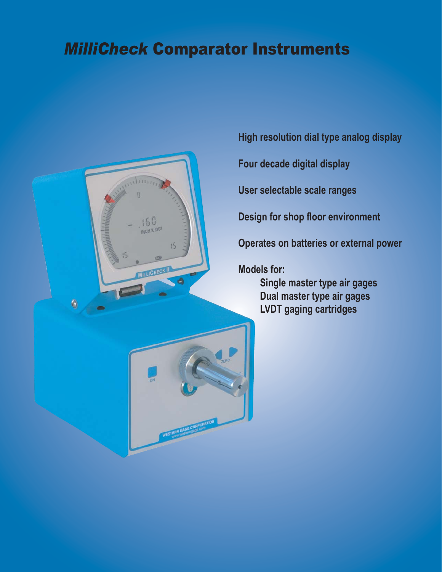# *MilliCheck* Comparator Instruments



**High resolution dial type analog display**

**Four decade digital display** 

**User selectable scale ranges**

**Design for shop floor environment**

**Operates on batteries or external power**

**Models for:**

 **Single master type air gages Dual master type air gages LVDT gaging cartridges**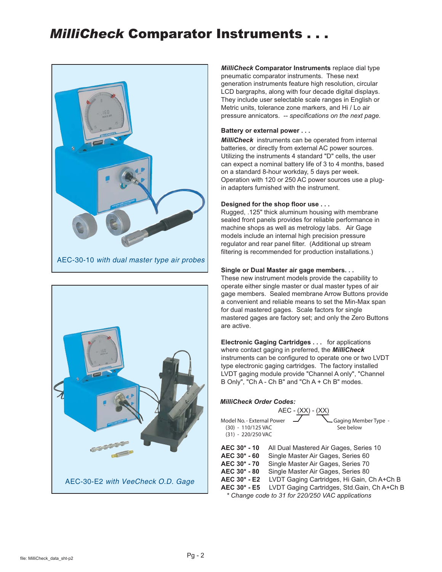# *MilliCheck* Comparator Instruments . . .





*MilliCheck* **Comparator Instruments** replace dial type pneumatic comparator instruments. These next generation instruments feature high resolution, circular LCD bargraphs, along with four decade digital displays. They include user selectable scale ranges in English or Metric units, tolerance zone markers, and Hi / Lo air pressure annicators. -- *specifications on the next page.*

#### **Battery or external power . . .**

*MilliCheck* instruments can be operated from internal batteries, or directly from external AC power sources. Utilizing the instruments 4 standard "D" cells, the user can expect a nominal battery life of 3 to 4 months, based on a standard 8-hour workday, 5 days per week. Operation with 120 or 250 AC power sources use a plugin adapters furnished with the instrument.

#### **Designed for the shop floor use . . .**

Rugged, .125" thick aluminum housing with membrane sealed front panels provides for reliable performance in machine shops as well as metrology labs. Air Gage models include an internal high precision pressure regulator and rear panel filter. (Additional up stream filtering is recommended for production installations.)

#### **Single or Dual Master air gage members. . .**

These new instrument models provide the capability to operate either single master or dual master types of air gage members. Sealed membrane Arrow Buttons provide a convenient and reliable means to set the Min-Max span for dual mastered gages. Scale factors for single mastered gages are factory set; and only the Zero Buttons are active.

**Electronic Gaging Cartridges . . .** for applications where contact gaging in preferred, the *MilliCheck* instruments can be configured to operate one or two LVDT type electronic gaging cartridges. The factory installed LVDT gaging module provide "Channel A only", "Channel B Only", "Ch A - Ch B" and "Ch A + Ch B" modes.

### *MilliCheck Order Codes:*

| AEC - (XX) - (XX)                                                                                           |                                             |
|-------------------------------------------------------------------------------------------------------------|---------------------------------------------|
| Gaging Member Type -<br>Model No. - External Power<br>(30) - 110/125 VAC<br>See below<br>(31) - 220/250 VAC |                                             |
| $AEC 30* - 10$<br>All Dual Mastered Air Gages, Series 10                                                    |                                             |
| Single Master Air Gages, Series 60                                                                          |                                             |
|                                                                                                             | Single Master Air Gages, Series 70          |
|                                                                                                             | Single Master Air Gages, Series 80          |
|                                                                                                             | LVDT Gaging Cartridges, Hi Gain, Ch A+Ch B  |
|                                                                                                             | LVDT Gaging Cartridges, Std.Gain, Ch A+Ch B |
| * Change code to 31 for 220/250 VAC applications                                                            |                                             |
|                                                                                                             |                                             |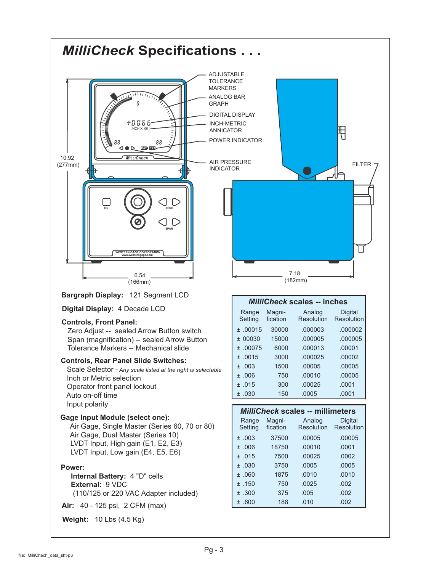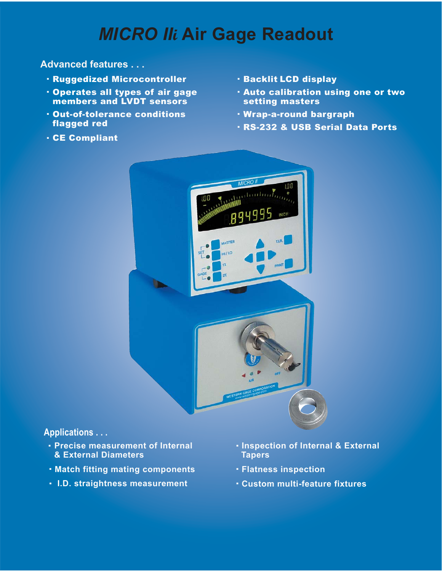# *MICRO II***i Air Gage Readout**

### **Advanced features . . .**

- . Ruggedized Microcontroller
- . Operates all types of air gage members and LVDT sensors
	- . Out-of-tolerance conditions flagged red
	- . CE Compliant
- . Backlit LCD display
- . Auto calibration using one or two setting masters
- . Wrap-a-round bargraph
- . RS-232 & USB Serial Data Ports



## **Applications . . .**

- . **Precise measurement of Internal & External Diameters**
- . **Match fitting mating components**
- . **I.D. straightness measurement**
- . **Inspection of Internal & External Tapers**
- . **Flatness inspection**
- . **Custom multi-feature fixtures**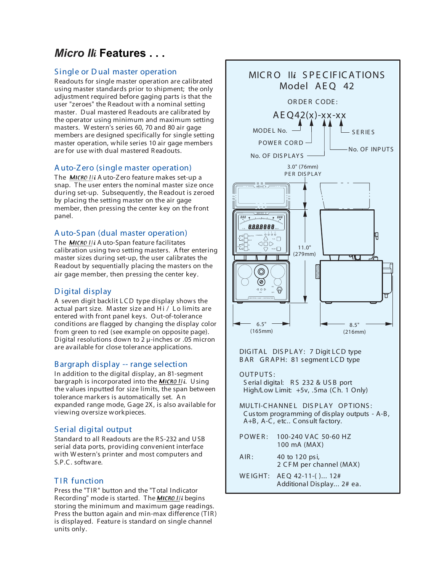## *Micro II***i Features . . .**

### Single or Dual master operation

R eadouts for single master operation are calibrated using master standards prior to shipment; the only adjustment required before gaging parts is that the user "zeroes" the R eadout with a nominal setting master. Dual mastered Readouts are calibrated by the operator using minimum and maximum setting masters. W estern's series 60, 70 and 80 air gage members are designed specifically for single setting master operation, while series 10 air gage members are for use with dual mastered R eadouts.

### A uto-Z ero (single master operation)

The **MICRO IIi** A uto-Z ero feature makes set-up a snap. The user enters the nominal master size once during set-up. Subsequently, the R eadout is zeroed by placing the setting master on the air gage member, then pressing the center key on the front panel.

### A uto-S pan (dual master operation)

The **MICRO IIi** A uto-Span feature facilitates calibration using two setting masters. A fter entering master sizes during set-up, the user calibrates the R eadout by sequentially placing the masters on the air gage member, then pressing the center key.

### D igital display

A seven digit backlit LCD type display shows the actual part size. Master size and Hi / Lo limits are entered with front panel keys. Out-of-tolerance conditions are flagged by changing the display color from green to red (see example on opposite page). Digital resolutions down to 2 u-inches or .05 micron are available for close tolerance applications.

### B argraph display -- range selection

In addition to the digital display, an 81-segment bargraph is incorporated into the **MICRO IIi.** Using the values inputted for size limits, the span between tolerance markers is automatically set. A n expanded range mode, G age 2X, is also available for viewing oversize workpieces.

### S erial digital output

Standard to all Readouts are the RS-232 and USB serial data ports, providing convenient interface with W estern's printer and most computers and S.P.C. software.

### **TIR** function

Press the "TIR" button and the "Total Indicator Recording" mode is started. The **MICRO II** i begins storing the minimum and maximum gage readings. Press the button again and min-max difference (TIR) is displayed. Feature is standard on single channel units only.